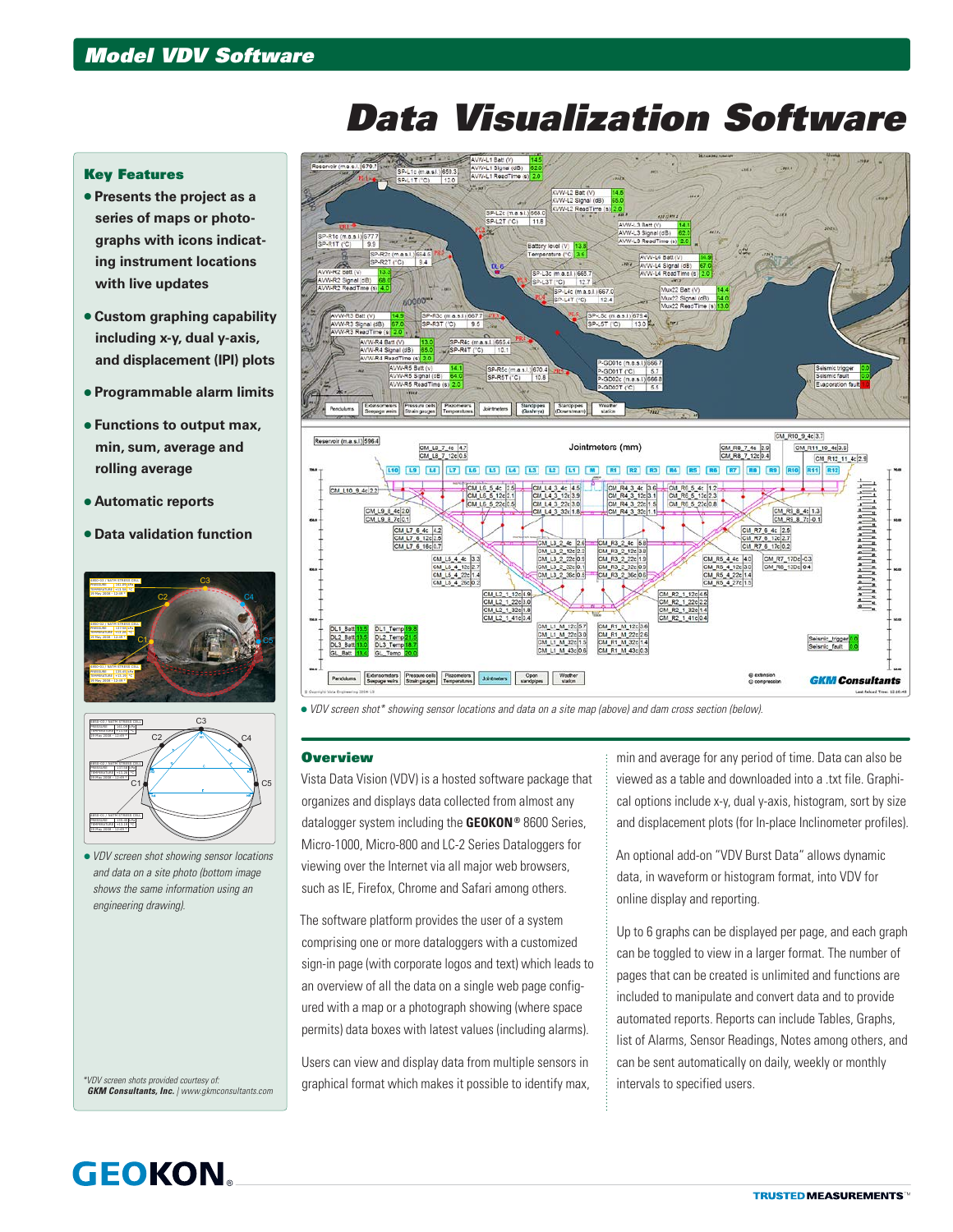## *Data Visualization Software*

## Key Features

- **Presents the project as a series of maps or photographs with icons indicating instrument locations with live updates**
- **Custom graphing capability including x-y, dual y-axis, and displacement (IPI) plots**
- **Programmable alarm limits**
- **Functions to output max, min, sum, average and rolling average**
- **Automatic reports**
- **Data validation function**





 *VDV screen shot showing sensor locations and data on a site photo (bottom image shows the same information using an engineering drawing).*

*\*VDV screen shots provided courtesy of: GKM Consultants, Inc. | www.gkmconsultants.com*



*VDV screen shot\* showing sensor locations and data on a site map (above) and dam cross section (below).*

## **Overview**

Vista Data Vision (VDV) is a hosted software package that organizes and displays data collected from almost any datalogger system including the **GEOKON®** 8600 Series, Micro-1000, Micro-800 and LC-2 Series Dataloggers for viewing over the Internet via all major web browsers, such as IE, Firefox, Chrome and Safari among others.

The software platform provides the user of a system comprising one or more dataloggers with a customized sign-in page (with corporate logos and text) which leads to an overview of all the data on a single web page configured with a map or a photograph showing (where space permits) data boxes with latest values (including alarms).

Users can view and display data from multiple sensors in graphical format which makes it possible to identify max, min and average for any period of time. Data can also be viewed as a table and downloaded into a .txt file. Graphical options include x-y, dual y-axis, histogram, sort by size and displacement plots (for In-place Inclinometer profiles).

An optional add-on "VDV Burst Data" allows dynamic data, in waveform or histogram format, into VDV for online display and reporting.

Up to 6 graphs can be displayed per page, and each graph can be toggled to view in a larger format. The number of pages that can be created is unlimited and functions are included to manipulate and convert data and to provide automated reports. Reports can include Tables, Graphs, list of Alarms, Sensor Readings, Notes among others, and can be sent automatically on daily, weekly or monthly intervals to specified users.

## **GEOKON**